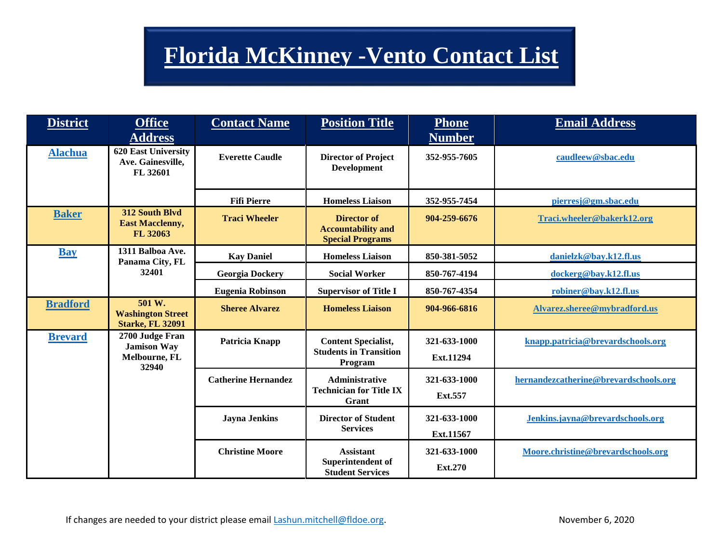## **Florida McKinney -Vento Contact List**

| <b>District</b> | <b>Office</b><br><b>Address</b>                                 | <b>Contact Name</b>        | <b>Position Title</b>                                                      | <b>Phone</b><br><b>Number</b> | <b>Email Address</b>                  |
|-----------------|-----------------------------------------------------------------|----------------------------|----------------------------------------------------------------------------|-------------------------------|---------------------------------------|
| <b>Alachua</b>  | <b>620 East University</b><br>Ave. Gainesville,<br>FL 32601     | <b>Everette Caudle</b>     | <b>Director of Project</b><br><b>Development</b>                           | 352-955-7605                  | caudleew@sbac.edu                     |
|                 |                                                                 | <b>Fifi Pierre</b>         | <b>Homeless Liaison</b>                                                    | 352-955-7454                  | pierresj@gm.sbac.edu                  |
| <b>Baker</b>    | 312 South Blvd<br><b>East Macclenny,</b><br>FL 32063            | <b>Traci Wheeler</b>       | <b>Director of</b><br><b>Accountability and</b><br><b>Special Programs</b> | 904-259-6676                  | Traci.wheeler@bakerk12.org            |
| <b>Bay</b>      | 1311 Balboa Ave.<br>Panama City, FL                             | <b>Kay Daniel</b>          | <b>Homeless Liaison</b>                                                    | 850-381-5052                  | danielzk@bay.k12.fl.us                |
|                 | 32401                                                           | <b>Georgia Dockery</b>     | <b>Social Worker</b>                                                       | 850-767-4194                  | dockerg@bay.k12.fl.us                 |
|                 |                                                                 | <b>Eugenia Robinson</b>    | <b>Supervisor of Title I</b>                                               | 850-767-4354                  | robiner@bay.k12.fl.us                 |
| <b>Bradford</b> | 501 W.<br><b>Washington Street</b><br><b>Starke, FL 32091</b>   | <b>Sheree Alvarez</b>      | <b>Homeless Liaison</b>                                                    | 904-966-6816                  | Alvarez.sheree@mybradford.us          |
| <b>Brevard</b>  | 2700 Judge Fran<br><b>Jamison Way</b><br>Melbourne, FL<br>32940 | Patricia Knapp             | <b>Content Specialist,</b><br><b>Students in Transition</b><br>Program     | 321-633-1000<br>Ext.11294     | knapp.patricia@brevardschools.org     |
|                 |                                                                 | <b>Catherine Hernandez</b> | <b>Administrative</b><br><b>Technician for Title IX</b><br>Grant           | 321-633-1000<br>Ext.557       | hernandezcatherine@brevardschools.org |
|                 |                                                                 | <b>Jayna Jenkins</b>       | <b>Director of Student</b><br><b>Services</b>                              | 321-633-1000<br>Ext.11567     | Jenkins.jayna@brevardschools.org      |
|                 |                                                                 | <b>Christine Moore</b>     | <b>Assistant</b><br>Superintendent of<br><b>Student Services</b>           | 321-633-1000<br>Ext.270       | Moore.christine@brevardschools.org    |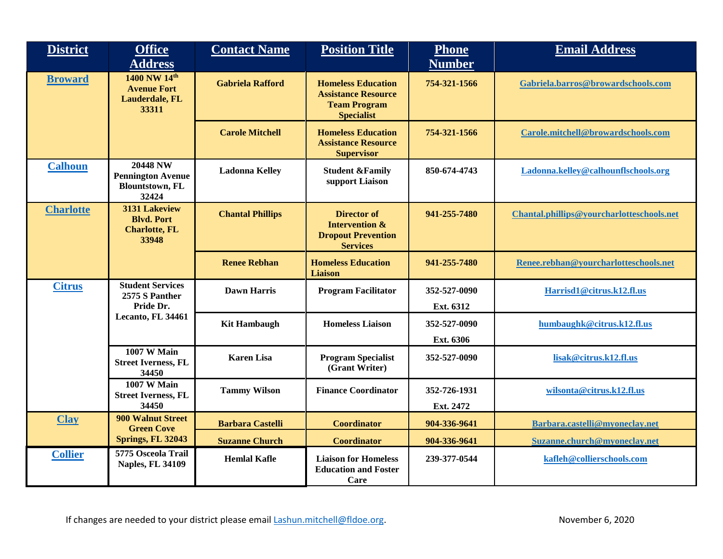| <b>District</b>  | <b>Office</b><br><b>Address</b>                                                | <b>Contact Name</b>     | <b>Position Title</b>                                                                               | <b>Phone</b><br><b>Number</b> | <b>Email Address</b>                      |
|------------------|--------------------------------------------------------------------------------|-------------------------|-----------------------------------------------------------------------------------------------------|-------------------------------|-------------------------------------------|
| <b>Broward</b>   | 1400 NW 14th<br><b>Avenue Fort</b><br>Lauderdale, FL<br>33311                  | <b>Gabriela Rafford</b> | <b>Homeless Education</b><br><b>Assistance Resource</b><br><b>Team Program</b><br><b>Specialist</b> | 754-321-1566                  | Gabriela.barros@browardschools.com        |
|                  |                                                                                | <b>Carole Mitchell</b>  | <b>Homeless Education</b><br><b>Assistance Resource</b><br><b>Supervisor</b>                        | 754-321-1566                  | Carole.mitchell@browardschools.com        |
| <b>Calhoun</b>   | <b>20448 NW</b><br><b>Pennington Avenue</b><br><b>Blountstown, FL</b><br>32424 | <b>Ladonna Kelley</b>   | <b>Student &amp;Family</b><br>support Liaison                                                       | 850-674-4743                  | Ladonna.kelley@calhounflschools.org       |
| <b>Charlotte</b> | 3131 Lakeview<br><b>Blvd. Port</b><br><b>Charlotte, FL</b><br>33948            | <b>Chantal Phillips</b> | <b>Director of</b><br><b>Intervention &amp;</b><br><b>Dropout Prevention</b><br><b>Services</b>     | 941-255-7480                  | Chantal.phillips@yourcharlotteschools.net |
|                  |                                                                                | <b>Renee Rebhan</b>     | <b>Homeless Education</b><br><b>Liaison</b>                                                         | 941-255-7480                  | Renee.rebhan@yourcharlotteschools.net     |
| <b>Citrus</b>    | <b>Student Services</b><br>2575 S Panther<br>Pride Dr.                         | <b>Dawn Harris</b>      | <b>Program Facilitator</b>                                                                          | 352-527-0090<br>Ext. 6312     | Harrisd1@citrus.k12.fl.us                 |
|                  | Lecanto, FL 34461                                                              | <b>Kit Hambaugh</b>     | <b>Homeless Liaison</b>                                                                             | 352-527-0090<br>Ext. 6306     | humbaughk@citrus.k12.fl.us                |
|                  | <b>1007 W Main</b><br><b>Street Iverness, FL</b><br>34450                      | <b>Karen Lisa</b>       | <b>Program Specialist</b><br>(Grant Writer)                                                         | 352-527-0090                  | lisak@citrus.k12.fl.us                    |
|                  | <b>1007 W Main</b><br><b>Street Iverness, FL</b><br>34450                      | <b>Tammy Wilson</b>     | <b>Finance Coordinator</b>                                                                          | 352-726-1931<br>Ext. 2472     | wilsonta@citrus.k12.fl.us                 |
| <b>Clay</b>      | <b>900 Walnut Street</b><br><b>Green Cove</b>                                  | <b>Barbara Castelli</b> | <b>Coordinator</b>                                                                                  | 904-336-9641                  | Barbara.castelli@myoneclay.net            |
|                  | <b>Springs, FL 32043</b>                                                       | <b>Suzanne Church</b>   | <b>Coordinator</b>                                                                                  | 904-336-9641                  | Suzanne.church@myoneclay.net              |
| <b>Collier</b>   | 5775 Osceola Trail<br><b>Naples, FL 34109</b>                                  | <b>Hemlal Kafle</b>     | <b>Liaison for Homeless</b><br><b>Education and Foster</b><br>Care                                  | 239-377-0544                  | kafleh@collierschools.com                 |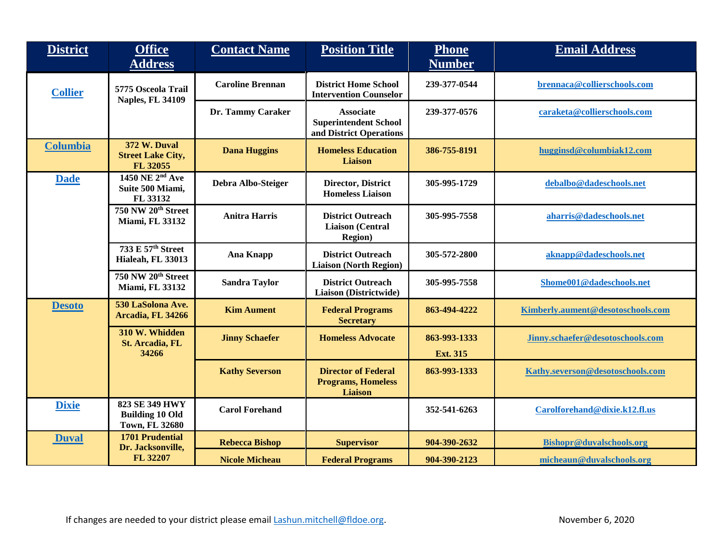| <b>District</b> | <b>Office</b><br><b>Address</b>                                   | <b>Contact Name</b>     | <b>Position Title</b>                                                       | <b>Phone</b><br><b>Number</b>   | <b>Email Address</b>              |
|-----------------|-------------------------------------------------------------------|-------------------------|-----------------------------------------------------------------------------|---------------------------------|-----------------------------------|
|                 |                                                                   |                         |                                                                             |                                 |                                   |
| <b>Collier</b>  | 5775 Osceola Trail<br><b>Naples, FL 34109</b>                     | <b>Caroline Brennan</b> | <b>District Home School</b><br><b>Intervention Counselor</b>                | 239-377-0544                    | brennaca@collierschools.com       |
|                 |                                                                   | Dr. Tammy Caraker       | <b>Associate</b><br><b>Superintendent School</b><br>and District Operations | 239-377-0576                    | caraketa@collierschools.com       |
| <b>Columbia</b> | <b>372 W. Duval</b><br><b>Street Lake City,</b><br>FL 32055       | <b>Dana Huggins</b>     | <b>Homeless Education</b><br><b>Liaison</b>                                 | 386-755-8191                    | hugginsd@columbiak12.com          |
| <b>Dade</b>     | 1450 NE 2 <sup>nd</sup> Ave<br>Suite 500 Miami,<br>FL 33132       | Debra Albo-Steiger      | <b>Director, District</b><br><b>Homeless Liaison</b>                        | 305-995-1729                    | debalbo@dadeschools.net           |
|                 | 750 NW 20th Street<br><b>Miami, FL 33132</b>                      | <b>Anitra Harris</b>    | <b>District Outreach</b><br><b>Liaison</b> (Central<br><b>Region</b> )      | 305-995-7558                    | aharris@dadeschools.net           |
|                 | 733 E 57th Street<br>Hialeah, FL 33013                            | <b>Ana Knapp</b>        | <b>District Outreach</b><br><b>Liaison (North Region)</b>                   | 305-572-2800                    | aknapp@dadeschools.net            |
|                 | 750 NW 20th Street<br><b>Miami, FL 33132</b>                      | <b>Sandra Taylor</b>    | <b>District Outreach</b><br>Liaison (Districtwide)                          | 305-995-7558                    | Shome001@dadeschools.net          |
| <b>Desoto</b>   | 530 LaSolona Ave.<br>Arcadia, FL 34266                            | <b>Kim Aument</b>       | <b>Federal Programs</b><br><b>Secretary</b>                                 | 863-494-4222                    | Kimberly.aument@desotoschools.com |
|                 | 310 W. Whidden<br>St. Arcadia, FL<br>34266                        | <b>Jinny Schaefer</b>   | <b>Homeless Advocate</b>                                                    | 863-993-1333<br><b>Ext. 315</b> | Jinny.schaefer@desotoschools.com  |
|                 |                                                                   | <b>Kathy Severson</b>   | <b>Director of Federal</b><br><b>Programs, Homeless</b><br><b>Liaison</b>   | 863-993-1333                    | Kathy.severson@desotoschools.com  |
| <b>Dixie</b>    | 823 SE 349 HWY<br><b>Building 10 Old</b><br><b>Town, FL 32680</b> | <b>Carol Forehand</b>   |                                                                             | 352-541-6263                    | Carolforehand@dixie.k12.fl.us     |
| <b>Duval</b>    | <b>1701 Prudential</b><br>Dr. Jacksonville,                       | <b>Rebecca Bishop</b>   | <b>Supervisor</b>                                                           | 904-390-2632                    | Bishopr@duvalschools.org          |
|                 | FL 32207                                                          | <b>Nicole Micheau</b>   | <b>Federal Programs</b>                                                     | 904-390-2123                    | micheaun@duvalschools.org         |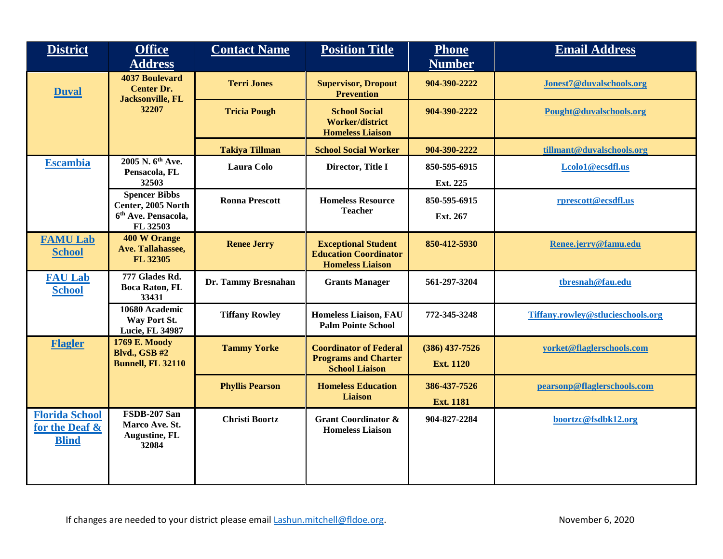| <b>District</b>                                         | <b>Office</b><br><b>Address</b>                                                           | <b>Contact Name</b>    | <b>Position Title</b>                                                                 | <b>Phone</b><br><b>Number</b>        | <b>Email Address</b>              |
|---------------------------------------------------------|-------------------------------------------------------------------------------------------|------------------------|---------------------------------------------------------------------------------------|--------------------------------------|-----------------------------------|
| <b>Duval</b>                                            | <b>4037 Boulevard</b><br><b>Center Dr.</b><br><b>Jacksonville, FL</b>                     | <b>Terri Jones</b>     | <b>Supervisor, Dropout</b><br><b>Prevention</b>                                       | 904-390-2222                         | Jonest7@duvalschools.org          |
|                                                         | 32207                                                                                     | <b>Tricia Pough</b>    | <b>School Social</b><br><b>Worker/district</b><br><b>Homeless Liaison</b>             | 904-390-2222                         | Pought@duvalschools.org           |
|                                                         |                                                                                           | <b>Takiya Tillman</b>  | <b>School Social Worker</b>                                                           | 904-390-2222                         | tillmant@duvalschools.org         |
| <b>Escambia</b>                                         | 2005 N. 6 <sup>th</sup> Ave.<br>Pensacola, FL<br>32503                                    | <b>Laura Colo</b>      | Director, Title I                                                                     | 850-595-6915<br>Ext. 225             | Lcolo1@ecsdfl.us                  |
|                                                         | <b>Spencer Bibbs</b><br>Center, 2005 North<br>6 <sup>th</sup> Ave. Pensacola,<br>FL 32503 | <b>Ronna Prescott</b>  | <b>Homeless Resource</b><br><b>Teacher</b>                                            | 850-595-6915<br>Ext. 267             | rprescott@ecsdfl.us               |
| <b>FAMU Lab</b><br><b>School</b>                        | <b>400 W Orange</b><br>Ave. Tallahassee,<br>FL 32305                                      | <b>Renee Jerry</b>     | <b>Exceptional Student</b><br><b>Education Coordinator</b><br><b>Homeless Liaison</b> | 850-412-5930                         | Renee.jerry@famu.edu              |
| <b>FAU Lab</b><br><b>School</b>                         | 777 Glades Rd.<br><b>Boca Raton, FL</b><br>33431                                          | Dr. Tammy Bresnahan    | <b>Grants Manager</b>                                                                 | 561-297-3204                         | tbresnah@fau.edu                  |
|                                                         | 10680 Academic<br>Way Port St.<br>Lucie, FL 34987                                         | <b>Tiffany Rowley</b>  | <b>Homeless Liaison, FAU</b><br><b>Palm Pointe School</b>                             | 772-345-3248                         | Tiffany.rowley@stlucieschools.org |
| <b>Flagler</b>                                          | <b>1769 E. Moody</b><br><b>Blvd., GSB #2</b><br><b>Bunnell, FL 32110</b>                  | <b>Tammy Yorke</b>     | <b>Coordinator of Federal</b><br><b>Programs and Charter</b><br><b>School Liaison</b> | $(386)$ 437-7526<br><b>Ext. 1120</b> | yorket@flaglerschools.com         |
|                                                         |                                                                                           | <b>Phyllis Pearson</b> | <b>Homeless Education</b><br><b>Liaison</b>                                           | 386-437-7526<br><b>Ext. 1181</b>     | pearsonp@flaglerschools.com       |
| <b>Florida School</b><br>for the Deaf &<br><b>Blind</b> | FSDB-207 San<br>Marco Ave. St.<br><b>Augustine, FL</b><br>32084                           | <b>Christi Boortz</b>  | <b>Grant Coordinator &amp;</b><br><b>Homeless Liaison</b>                             | 904-827-2284                         | boortzc@fsdbk12.org               |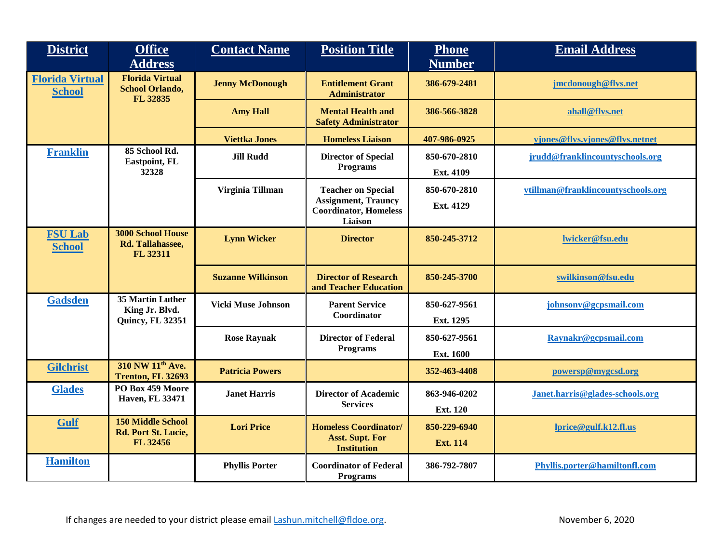| <b>District</b>                         | <b>Office</b><br><b>Address</b>                              | <b>Contact Name</b>       | <b>Position Title</b>                                                 | <b>Phone</b><br><b>Number</b> | <b>Email Address</b>               |
|-----------------------------------------|--------------------------------------------------------------|---------------------------|-----------------------------------------------------------------------|-------------------------------|------------------------------------|
| <b>Florida Virtual</b><br><b>School</b> | <b>Florida Virtual</b><br><b>School Orlando,</b><br>FL 32835 | <b>Jenny McDonough</b>    | <b>Entitlement Grant</b><br><b>Administrator</b>                      | 386-679-2481                  | jmcdonough@flvs.net                |
|                                         |                                                              | <b>Amy Hall</b>           | <b>Mental Health and</b><br><b>Safety Administrator</b>               | 386-566-3828                  | ahall@flvs.net                     |
|                                         |                                                              | <b>Viettka Jones</b>      | <b>Homeless Liaison</b>                                               | 407-986-0925                  | vjones@flvs.vjones@flvs.netnet     |
| <b>Franklin</b>                         | 85 School Rd.<br>Eastpoint, FL                               | <b>Jill Rudd</b>          | <b>Director of Special</b>                                            | 850-670-2810                  | jrudd@franklincountyschools.org    |
|                                         | 32328                                                        |                           | <b>Programs</b>                                                       | Ext. 4109                     |                                    |
|                                         |                                                              | Virginia Tillman          | <b>Teacher on Special</b>                                             | 850-670-2810                  | vtillman@franklincountyschools.org |
|                                         |                                                              |                           | <b>Assignment, Trauncy</b><br><b>Coordinator, Homeless</b><br>Liaison | Ext. 4129                     |                                    |
| <b>FSU Lab</b><br><b>School</b>         | <b>3000 School House</b><br>Rd. Tallahassee,<br>FL 32311     | <b>Lynn Wicker</b>        | <b>Director</b>                                                       | 850-245-3712                  | lwicker@fsu.edu                    |
|                                         |                                                              | <b>Suzanne Wilkinson</b>  | <b>Director of Research</b><br>and Teacher Education                  | 850-245-3700                  | swilkinson@fsu.edu                 |
| <b>Gadsden</b>                          | 35 Martin Luther<br>King Jr. Blvd.                           | <b>Vicki Muse Johnson</b> | <b>Parent Service</b>                                                 | 850-627-9561                  | johnsonv@gcpsmail.com              |
|                                         | <b>Quincy, FL 32351</b>                                      |                           | Coordinator                                                           | Ext. 1295                     |                                    |
|                                         |                                                              | <b>Rose Raynak</b>        | <b>Director of Federal</b>                                            | 850-627-9561                  | Raynakr@gcpsmail.com               |
|                                         |                                                              |                           | <b>Programs</b>                                                       | <b>Ext. 1600</b>              |                                    |
| <b>Gilchrist</b>                        | 310 NW 11 <sup>th</sup> Ave.<br>Trenton, FL 32693            | <b>Patricia Powers</b>    |                                                                       | 352-463-4408                  | powersp@mygcsd.org                 |
| <b>Glades</b>                           | PO Box 459 Moore<br><b>Haven, FL 33471</b>                   | <b>Janet Harris</b>       | <b>Director of Academic</b>                                           | 863-946-0202                  | Janet.harris@glades-schools.org    |
|                                         |                                                              |                           | <b>Services</b>                                                       | <b>Ext. 120</b>               |                                    |
| Gulf                                    | <b>150 Middle School</b><br>Rd. Port St. Lucie,              | <b>Lori Price</b>         | <b>Homeless Coordinator/</b>                                          | 850-229-6940                  | lprice@gulf.k12.fl.us              |
|                                         | FL 32456                                                     |                           | <b>Asst. Supt. For</b><br><b>Institution</b>                          | <b>Ext. 114</b>               |                                    |
| <b>Hamilton</b>                         |                                                              | <b>Phyllis Porter</b>     | <b>Coordinator of Federal</b><br>Programs                             | 386-792-7807                  | Phyllis.porter@hamiltonfl.com      |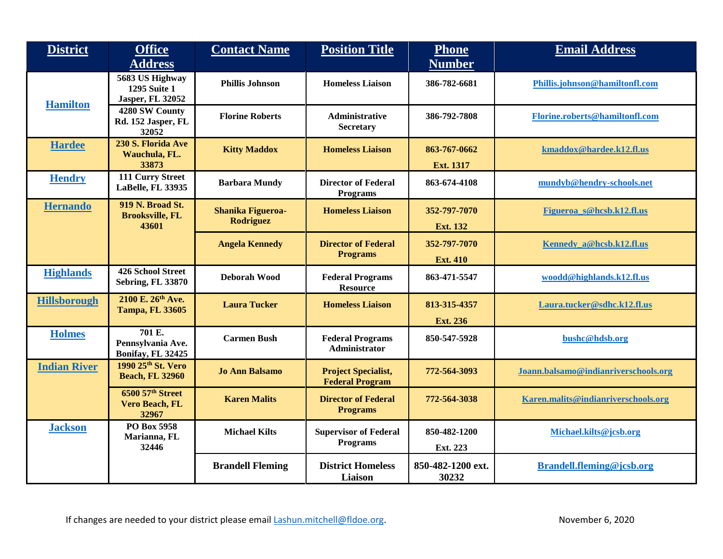| <b>District</b>     | <b>Office</b><br><b>Address</b>                                   | <b>Contact Name</b>                          | <b>Position Title</b>                                | <b>Phone</b><br><b>Number</b>    | <b>Email Address</b>                 |
|---------------------|-------------------------------------------------------------------|----------------------------------------------|------------------------------------------------------|----------------------------------|--------------------------------------|
| <b>Hamilton</b>     | 5683 US Highway<br><b>1295 Suite 1</b><br><b>Jasper, FL 32052</b> | <b>Phillis Johnson</b>                       | <b>Homeless Liaison</b>                              | 386-782-6681                     | Phillis.johnson@hamiltonfl.com       |
|                     | 4280 SW County<br>Rd. 152 Jasper, FL<br>32052                     | <b>Florine Roberts</b>                       | <b>Administrative</b><br>Secretary                   | 386-792-7808                     | Florine.roberts@hamiltonfl.com       |
| <b>Hardee</b>       | 230 S. Florida Ave<br>Wauchula, FL.<br>33873                      | <b>Kitty Maddox</b>                          | <b>Homeless Liaison</b>                              | 863-767-0662<br><b>Ext. 1317</b> | kmaddox@hardee.k12.fl.us             |
| <b>Hendry</b>       | 111 Curry Street<br>LaBelle, FL 33935                             | <b>Barbara Mundy</b>                         | <b>Director of Federal</b><br><b>Programs</b>        | 863-674-4108                     | mundyb@hendry-schools.net            |
| <b>Hernando</b>     | <b>919 N. Broad St.</b><br><b>Brooksville, FL</b><br>43601        | <b>Shanika Figueroa-</b><br><b>Rodriguez</b> | <b>Homeless Liaison</b>                              | 352-797-7070<br><b>Ext. 132</b>  | Figueroa s@hcsb.k12.fl.us            |
|                     |                                                                   | <b>Angela Kennedy</b>                        | <b>Director of Federal</b><br><b>Programs</b>        | 352-797-7070<br><b>Ext. 410</b>  | Kennedy_a@hcsb.k12.fl.us             |
| <b>Highlands</b>    | <b>426 School Street</b><br><b>Sebring, FL 33870</b>              | Deborah Wood                                 | <b>Federal Programs</b><br><b>Resource</b>           | 863-471-5547                     | woodd@highlands.k12.fl.us            |
| <b>Hillsborough</b> | 2100 E. 26th Ave.<br><b>Tampa, FL 33605</b>                       | <b>Laura Tucker</b>                          | <b>Homeless Liaison</b>                              | 813-315-4357<br><b>Ext. 236</b>  | Laura.tucker@sdhc.k12.fl.us          |
| <b>Holmes</b>       | 701 E.<br>Pennsylvania Ave.<br>Bonifay, FL 32425                  | <b>Carmen Bush</b>                           | <b>Federal Programs</b><br><b>Administrator</b>      | 850-547-5928                     | bushc@hdsb.org                       |
| <b>Indian River</b> | 1990 25th St. Vero<br><b>Beach, FL 32960</b>                      | <b>Jo Ann Balsamo</b>                        | <b>Project Specialist,</b><br><b>Federal Program</b> | 772-564-3093                     | Joann.balsamo@indianriverschools.org |
|                     | 6500 57th Street<br>Vero Beach, FL<br>32967                       | <b>Karen Malits</b>                          | <b>Director of Federal</b><br><b>Programs</b>        | 772-564-3038                     | Karen.malits@indianriverschools.org  |
| <b>Jackson</b>      | PO Box 5958<br>Marianna, FL<br>32446                              | <b>Michael Kilts</b>                         | <b>Supervisor of Federal</b><br><b>Programs</b>      | 850-482-1200<br>Ext. 223         | Michael.kilts@jcsb.org               |
|                     |                                                                   | <b>Brandell Fleming</b>                      | <b>District Homeless</b><br>Liaison                  | 850-482-1200 ext.<br>30232       | Brandell.fleming@jcsb.org            |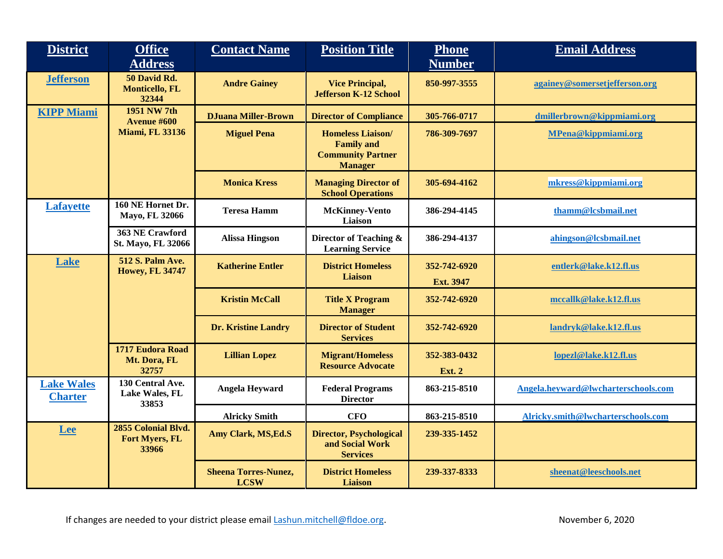| <b>District</b>                     | <b>Office</b><br><b>Address</b>                       | <b>Contact Name</b>                        | <b>Position Title</b>                                                                       | <b>Phone</b><br><b>Number</b> | <b>Email Address</b>                |
|-------------------------------------|-------------------------------------------------------|--------------------------------------------|---------------------------------------------------------------------------------------------|-------------------------------|-------------------------------------|
| <b>Jefferson</b>                    | 50 David Rd.<br><b>Monticello, FL</b><br>32344        | <b>Andre Gainey</b>                        | <b>Vice Principal,</b><br><b>Jefferson K-12 School</b>                                      | 850-997-3555                  | againey@somersetjefferson.org       |
| <b>KIPP Miami</b>                   | 1951 NW 7th<br><b>Avenue #600</b>                     | <b>DJuana Miller-Brown</b>                 | <b>Director of Compliance</b>                                                               | 305-766-0717                  | dmillerbrown@kippmiami.org          |
|                                     | <b>Miami, FL 33136</b>                                | <b>Miguel Pena</b>                         | <b>Homeless Liaison/</b><br><b>Family and</b><br><b>Community Partner</b><br><b>Manager</b> | 786-309-7697                  | <b>MPena@kippmiami.org</b>          |
|                                     |                                                       | <b>Monica Kress</b>                        | <b>Managing Director of</b><br><b>School Operations</b>                                     | 305-694-4162                  | mkress@kippmiami.org                |
| <b>Lafayette</b>                    | 160 NE Hornet Dr.<br>Mayo, FL 32066                   | <b>Teresa Hamm</b>                         | <b>McKinney-Vento</b><br>Liaison                                                            | 386-294-4145                  | thamm@lcsbmail.net                  |
|                                     | 363 NE Crawford<br>St. Mayo, FL 32066                 | <b>Alissa Hingson</b>                      | Director of Teaching &<br><b>Learning Service</b>                                           | 386-294-4137                  | ahingson@lcsbmail.net               |
| <b>Lake</b>                         | <b>512 S. Palm Ave.</b><br><b>Howey, FL 34747</b>     | <b>Katherine Entler</b>                    | <b>District Homeless</b><br><b>Liaison</b>                                                  | 352-742-6920                  | entlerk@lake.k12.fl.us              |
|                                     |                                                       |                                            |                                                                                             | Ext. 3947                     |                                     |
|                                     |                                                       | <b>Kristin McCall</b>                      | <b>Title X Program</b><br><b>Manager</b>                                                    | 352-742-6920                  | mccallk@lake.k12.fl.us              |
|                                     |                                                       | <b>Dr. Kristine Landry</b>                 | <b>Director of Student</b><br><b>Services</b>                                               | 352-742-6920                  | landryk@lake.k12.fl.us              |
|                                     | 1717 Eudora Road<br>Mt. Dora, FL                      | <b>Lillian Lopez</b>                       | <b>Migrant/Homeless</b>                                                                     | 352-383-0432                  | lopezl@lake.k12.fl.us               |
|                                     | 32757                                                 |                                            | <b>Resource Advocate</b>                                                                    | <b>Ext. 2</b>                 |                                     |
| <b>Lake Wales</b><br><b>Charter</b> | 130 Central Ave.<br><b>Lake Wales, FL</b><br>33853    | <b>Angela Heyward</b>                      | <b>Federal Programs</b><br><b>Director</b>                                                  | 863-215-8510                  | Angela.heyward@lwcharterschools.com |
|                                     |                                                       | <b>Alricky Smith</b>                       | <b>CFO</b>                                                                                  | 863-215-8510                  | Alricky.smith@lwcharterschools.com  |
| <b>Lee</b>                          | 2855 Colonial Blvd.<br><b>Fort Myers, FL</b><br>33966 | <b>Amy Clark, MS, Ed.S</b>                 | <b>Director, Psychological</b><br>and Social Work<br><b>Services</b>                        | 239-335-1452                  |                                     |
|                                     |                                                       | <b>Sheena Torres-Nunez,</b><br><b>LCSW</b> | <b>District Homeless</b><br><b>Liaison</b>                                                  | 239-337-8333                  | sheenat@leeschools.net              |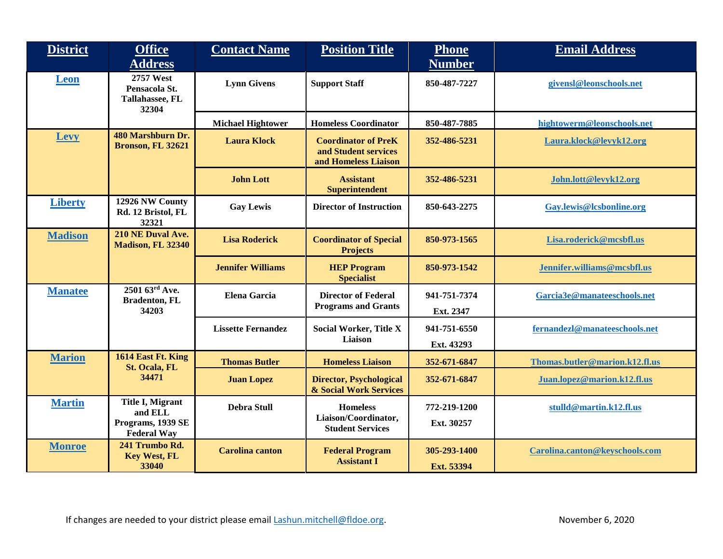| <b>District</b> | <b>Office</b><br><b>Address</b>                                               | <b>Contact Name</b>       | <b>Position Title</b>                                                      | <b>Phone</b><br><b>Number</b> | <b>Email Address</b>           |
|-----------------|-------------------------------------------------------------------------------|---------------------------|----------------------------------------------------------------------------|-------------------------------|--------------------------------|
| <b>Leon</b>     | 2757 West<br>Pensacola St.<br><b>Tallahassee, FL</b><br>32304                 | <b>Lynn Givens</b>        | <b>Support Staff</b>                                                       | 850-487-7227                  | givensl@leonschools.net        |
|                 |                                                                               | <b>Michael Hightower</b>  | <b>Homeless Coordinator</b>                                                | 850-487-7885                  | hightowerm@leonschools.net     |
| <b>Levy</b>     | 480 Marshburn Dr.<br>Bronson, FL 32621                                        | <b>Laura Klock</b>        | <b>Coordinator of PreK</b><br>and Student services<br>and Homeless Liaison | 352-486-5231                  | Laura.klock@levyk12.org        |
|                 |                                                                               | <b>John Lott</b>          | <b>Assistant</b><br><b>Superintendent</b>                                  | 352-486-5231                  | John.lott@levyk12.org          |
| <b>Liberty</b>  | 12926 NW County<br>Rd. 12 Bristol, FL<br>32321                                | <b>Gay Lewis</b>          | <b>Director of Instruction</b>                                             | 850-643-2275                  | Gay.lewis@lcsbonline.org       |
| <b>Madison</b>  | 210 NE Duval Ave.<br><b>Madison, FL 32340</b>                                 | <b>Lisa Roderick</b>      | <b>Coordinator of Special</b><br><b>Projects</b>                           | 850-973-1565                  | Lisa.roderick@mcsbfl.us        |
|                 |                                                                               | <b>Jennifer Williams</b>  | <b>HEP Program</b><br><b>Specialist</b>                                    | 850-973-1542                  | Jennifer.williams@mcsbfl.us    |
| <b>Manatee</b>  | 2501 63rd Ave.<br><b>Bradenton, FL</b><br>34203                               | <b>Elena Garcia</b>       | <b>Director of Federal</b><br><b>Programs and Grants</b>                   | 941-751-7374<br>Ext. 2347     | Garcia3e@manateeschools.net    |
|                 |                                                                               | <b>Lissette Fernandez</b> | <b>Social Worker, Title X</b><br>Liaison                                   | 941-751-6550<br>Ext. 43293    | fernandezl@manateeschools.net  |
| <b>Marion</b>   | 1614 East Ft. King                                                            | <b>Thomas Butler</b>      | <b>Homeless Liaison</b>                                                    | 352-671-6847                  | Thomas.butler@marion.k12.fl.us |
|                 | St. Ocala, FL<br>34471                                                        | <b>Juan Lopez</b>         | <b>Director, Psychological</b><br><b>&amp; Social Work Services</b>        | 352-671-6847                  | Juan.lopez@marion.k12.fl.us    |
| <b>Martin</b>   | <b>Title I, Migrant</b><br>and ELL<br>Programs, 1939 SE<br><b>Federal Way</b> | <b>Debra Stull</b>        | <b>Homeless</b><br>Liaison/Coordinator,<br><b>Student Services</b>         | 772-219-1200<br>Ext. 30257    | stulld@martin.k12.fl.us        |
| <b>Monroe</b>   | 241 Trumbo Rd.<br><b>Key West, FL</b><br>33040                                | <b>Carolina</b> canton    | <b>Federal Program</b><br><b>Assistant I</b>                               | 305-293-1400<br>Ext. 53394    | Carolina.canton@keyschools.com |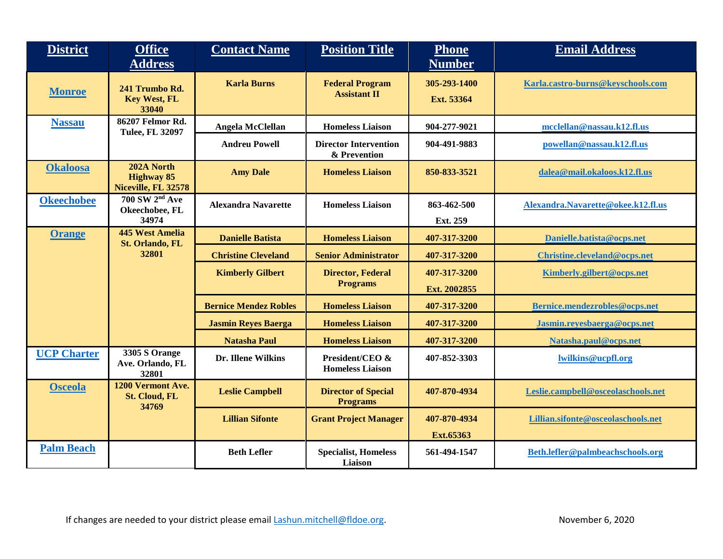| <b>District</b>    | <b>Office</b><br><b>Address</b>                             | <b>Contact Name</b>          | <b>Position Title</b>                         | <b>Phone</b><br><b>Number</b> | <b>Email Address</b>               |
|--------------------|-------------------------------------------------------------|------------------------------|-----------------------------------------------|-------------------------------|------------------------------------|
| <b>Monroe</b>      | 241 Trumbo Rd.<br><b>Key West, FL</b>                       | <b>Karla Burns</b>           | <b>Federal Program</b><br><b>Assistant II</b> | 305-293-1400<br>Ext. 53364    | Karla.castro-burns@keyschools.com  |
| <b>Nassau</b>      | 33040<br>86207 Felmor Rd.<br><b>Tulee, FL 32097</b>         | Angela McClellan             | <b>Homeless Liaison</b>                       | 904-277-9021                  | mcclellan@nassau.k12.fl.us         |
|                    |                                                             | <b>Andreu Powell</b>         | <b>Director Intervention</b><br>& Prevention  | 904-491-9883                  | powellan@nassau.k12.fl.us          |
| <b>Okaloosa</b>    | 202A North<br><b>Highway 85</b><br>Niceville, FL 32578      | <b>Amy Dale</b>              | <b>Homeless Liaison</b>                       | 850-833-3521                  | dalea@mail.okaloos.k12.fl.us       |
| <b>Okeechobee</b>  | <b>700 SW 2<sup>nd</sup> Ave</b><br>Okeechobee, FL<br>34974 | <b>Alexandra Navarette</b>   | <b>Homeless Liaison</b>                       | 863-462-500<br>Ext. 259       | Alexandra.Navarette@okee.k12.fl.us |
| <b>Orange</b>      | <b>445 West Amelia</b><br>St. Orlando, FL                   | <b>Danielle Batista</b>      | <b>Homeless Liaison</b>                       | 407-317-3200                  | Danielle.batista@ocps.net          |
|                    | 32801                                                       | <b>Christine Cleveland</b>   | <b>Senior Administrator</b>                   | 407-317-3200                  | Christine.cleveland@ocps.net       |
|                    |                                                             | <b>Kimberly Gilbert</b>      | <b>Director, Federal</b><br><b>Programs</b>   | 407-317-3200<br>Ext. 2002855  | Kimberly.gilbert@ocps.net          |
|                    |                                                             | <b>Bernice Mendez Robles</b> | <b>Homeless Liaison</b>                       | 407-317-3200                  | Bernice.mendezrobles@ocps.net      |
|                    |                                                             | <b>Jasmin Reyes Baerga</b>   | <b>Homeless Liaison</b>                       | 407-317-3200                  | Jasmin.reyesbaerga@ocps.net        |
|                    |                                                             | <b>Natasha Paul</b>          | <b>Homeless Liaison</b>                       | 407-317-3200                  | Natasha.paul@ocps.net              |
| <b>UCP Charter</b> | 3305 S Orange<br>Ave. Orlando, FL<br>32801                  | Dr. Illene Wilkins           | President/CEO &<br><b>Homeless Liaison</b>    | 407-852-3303                  | lwilkins@ucpfl.org                 |
| <b>Osceola</b>     | 1200 Vermont Ave.<br><b>St. Cloud, FL</b><br>34769          | <b>Leslie Campbell</b>       | <b>Director of Special</b><br><b>Programs</b> | 407-870-4934                  | Leslie.campbell@osceolaschools.net |
|                    |                                                             | <b>Lillian Sifonte</b>       | <b>Grant Project Manager</b>                  | 407-870-4934<br>Ext.65363     | Lillian.sifonte@osceolaschools.net |
| <b>Palm Beach</b>  |                                                             | <b>Beth Lefler</b>           | <b>Specialist, Homeless</b><br>Liaison        | 561-494-1547                  | Beth.lefler@palmbeachschools.org   |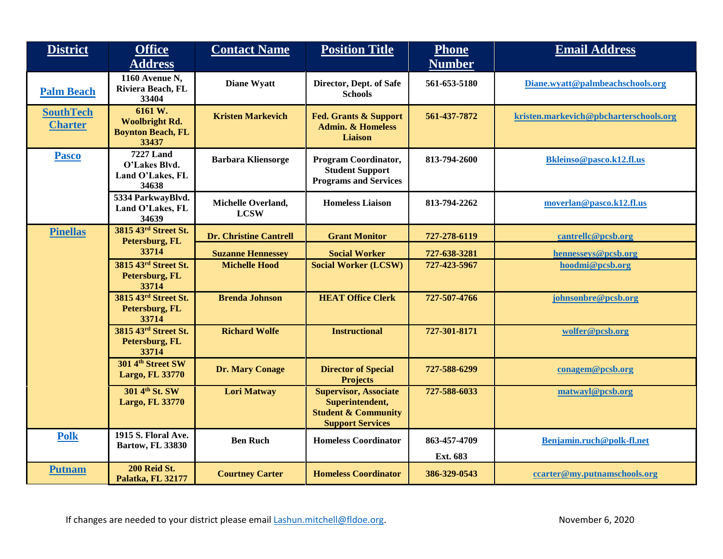| <b>District</b>                    | <b>Office</b><br><b>Address</b>                                       | <b>Contact Name</b>               | <b>Position Title</b>                                                                                        | <b>Phone</b><br><b>Number</b> | <b>Email Address</b>                   |
|------------------------------------|-----------------------------------------------------------------------|-----------------------------------|--------------------------------------------------------------------------------------------------------------|-------------------------------|----------------------------------------|
| <b>Palm Beach</b>                  | 1160 Avenue N,<br>Riviera Beach, FL<br>33404                          | <b>Diane Wyatt</b>                | Director, Dept. of Safe<br><b>Schools</b>                                                                    | 561-653-5180                  | Diane.wyatt@palmbeachschools.org       |
| <b>SouthTech</b><br><b>Charter</b> | 6161 W.<br><b>Woolbright Rd.</b><br><b>Boynton Beach, FL</b><br>33437 | <b>Kristen Markevich</b>          | <b>Fed. Grants &amp; Support</b><br><b>Admin. &amp; Homeless</b><br><b>Liaison</b>                           | 561-437-7872                  | kristen.markevich@pbcharterschools.org |
| <b>Pasco</b>                       | <b>7227 Land</b><br>O'Lakes Blvd.<br>Land O'Lakes, FL<br>34638        | <b>Barbara Kliensorge</b>         | <b>Program Coordinator,</b><br><b>Student Support</b><br><b>Programs and Services</b>                        | 813-794-2600                  | <b>Bkleinso@pasco.k12.fl.us</b>        |
|                                    | 5334 ParkwayBlvd.<br>Land O'Lakes, FL<br>34639                        | Michelle Overland,<br><b>LCSW</b> | <b>Homeless Liaison</b>                                                                                      | 813-794-2262                  | moverlan@pasco.k12.fl.us               |
| <b>Pinellas</b>                    | 3815 43rd Street St.<br>Petersburg, FL                                | <b>Dr. Christine Cantrell</b>     | <b>Grant Monitor</b>                                                                                         | 727-278-6119                  | cantrellc@pcsb.org                     |
|                                    | 33714                                                                 | <b>Suzanne Hennessey</b>          | <b>Social Worker</b>                                                                                         | 727-638-3281                  | hennesseys@pcsb.org                    |
|                                    | 3815 43rd Street St.<br>Petersburg, FL<br>33714                       | <b>Michelle Hood</b>              | <b>Social Worker (LCSW)</b>                                                                                  | 727-423-5967                  | hoodmi@pcsb.org                        |
|                                    | 3815 43rd Street St.<br>Petersburg, FL<br>33714                       | <b>Brenda Johnson</b>             | <b>HEAT Office Clerk</b>                                                                                     | 727-507-4766                  | johnsonbre@pcsb.org                    |
|                                    | 3815 43rd Street St.<br>Petersburg, FL<br>33714                       | <b>Richard Wolfe</b>              | <b>Instructional</b>                                                                                         | 727-301-8171                  | wolfer@pcsb.org                        |
|                                    | 301 4th Street SW<br><b>Largo, FL 33770</b>                           | <b>Dr. Mary Conage</b>            | <b>Director of Special</b><br><b>Projects</b>                                                                | 727-588-6299                  | conagem@pcsb.org                       |
|                                    | 301 4th St. SW<br><b>Largo, FL 33770</b>                              | <b>Lori Matway</b>                | <b>Supervisor, Associate</b><br>Superintendent,<br><b>Student &amp; Community</b><br><b>Support Services</b> | 727-588-6033                  | matwayl@pcsb.org                       |
| <b>Polk</b>                        | 1915 S. Floral Ave.<br><b>Bartow, FL 33830</b>                        | <b>Ben Ruch</b>                   | <b>Homeless Coordinator</b>                                                                                  | 863-457-4709                  | Benjamin.ruch@polk-fl.net              |
|                                    |                                                                       |                                   |                                                                                                              | Ext. 683                      |                                        |
| <b>Putnam</b>                      | 200 Reid St.<br>Palatka, FL 32177                                     | <b>Courtney Carter</b>            | <b>Homeless Coordinator</b>                                                                                  | 386-329-0543                  | ccarter@my.putnamschools.org           |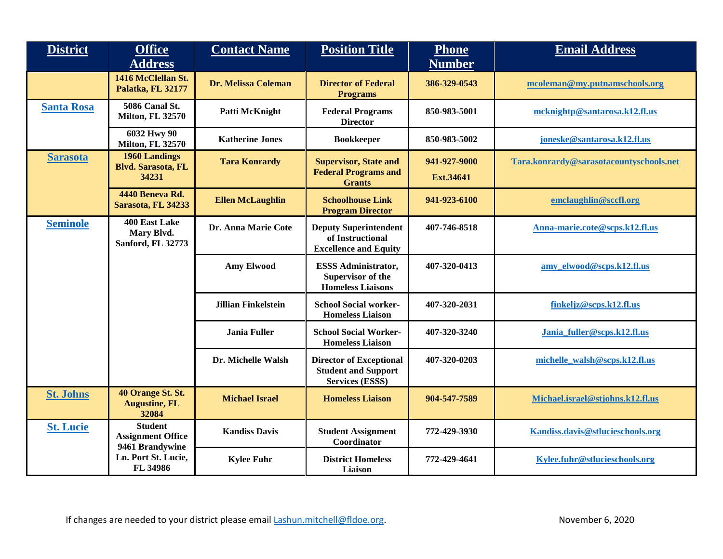| <b>District</b>   | <b>Office</b><br><b>Address</b>                               | <b>Contact Name</b>     | <b>Position Title</b>                                                                  | <b>Phone</b><br><b>Number</b> | <b>Email Address</b>                    |
|-------------------|---------------------------------------------------------------|-------------------------|----------------------------------------------------------------------------------------|-------------------------------|-----------------------------------------|
|                   | 1416 McClellan St.<br>Palatka, FL 32177                       | Dr. Melissa Coleman     | <b>Director of Federal</b><br><b>Programs</b>                                          | 386-329-0543                  | mcoleman@my.putnamschools.org           |
| <b>Santa Rosa</b> | 5086 Canal St.<br><b>Milton, FL 32570</b>                     | Patti McKnight          | <b>Federal Programs</b><br><b>Director</b>                                             | 850-983-5001                  | mcknightp@santarosa.k12.fl.us           |
|                   | 6032 Hwy 90<br><b>Milton, FL 32570</b>                        | <b>Katherine Jones</b>  | <b>Bookkeeper</b>                                                                      | 850-983-5002                  | joneske@santarosa.k12.fl.us             |
| <b>Sarasota</b>   | <b>1960 Landings</b><br><b>Blvd. Sarasota, FL</b><br>34231    | <b>Tara Konrardy</b>    | <b>Supervisor, State and</b><br><b>Federal Programs and</b><br><b>Grants</b>           | 941-927-9000<br>Ext.34641     | Tara.konrardy@sarasotacountyschools.net |
|                   | 4440 Beneva Rd.<br>Sarasota, FL 34233                         | <b>Ellen McLaughlin</b> | <b>Schoolhouse Link</b><br><b>Program Director</b>                                     | 941-923-6100                  | emclaughlin@sccfl.org                   |
| <b>Seminole</b>   | 400 East Lake<br>Mary Blvd.<br>Sanford, FL 32773              | Dr. Anna Marie Cote     | <b>Deputy Superintendent</b><br>of Instructional<br><b>Excellence and Equity</b>       | 407-746-8518                  | Anna-marie.cote@scps.k12.fl.us          |
|                   |                                                               | <b>Amy Elwood</b>       | <b>ESSS Administrator,</b><br><b>Supervisor of the</b><br><b>Homeless Liaisons</b>     | 407-320-0413                  | amy_elwood@scps.k12.fl.us               |
|                   |                                                               | Jillian Finkelstein     | <b>School Social worker-</b><br><b>Homeless Liaison</b>                                | 407-320-2031                  | finkeljz@scps.k12.fl.us                 |
|                   |                                                               | <b>Jania Fuller</b>     | <b>School Social Worker-</b><br><b>Homeless Liaison</b>                                | 407-320-3240                  | Jania fuller@scps.k12.fl.us             |
|                   |                                                               | Dr. Michelle Walsh      | <b>Director of Exceptional</b><br><b>Student and Support</b><br><b>Services (ESSS)</b> | 407-320-0203                  | michelle_walsh@scps.k12.fl.us           |
| <b>St. Johns</b>  | 40 Orange St. St.<br><b>Augustine, FL</b><br>32084            | <b>Michael Israel</b>   | <b>Homeless Liaison</b>                                                                | 904-547-7589                  | Michael.israel@stjohns.k12.fl.us        |
| <b>St. Lucie</b>  | <b>Student</b><br><b>Assignment Office</b><br>9461 Brandywine | <b>Kandiss Davis</b>    | <b>Student Assignment</b><br>Coordinator                                               | 772-429-3930                  | Kandiss.davis@stlucieschools.org        |
|                   | Ln. Port St. Lucie,<br>FL 34986                               | <b>Kylee Fuhr</b>       | <b>District Homeless</b><br>Liaison                                                    | 772-429-4641                  | Kylee.fuhr@stlucieschools.org           |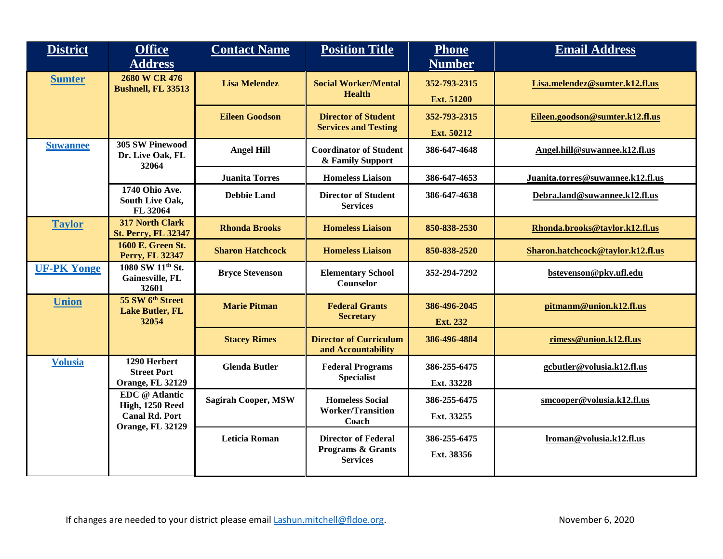| <b>District</b>    | <b>Office</b><br><b>Address</b>                                 | <b>Contact Name</b>        | <b>Position Title</b>                                                         | <b>Phone</b><br><b>Number</b>     | <b>Email Address</b>              |
|--------------------|-----------------------------------------------------------------|----------------------------|-------------------------------------------------------------------------------|-----------------------------------|-----------------------------------|
| <b>Sumter</b>      | 2680 W CR 476<br><b>Bushnell, FL 33513</b>                      | <b>Lisa Melendez</b>       | <b>Social Worker/Mental</b><br><b>Health</b>                                  | 352-793-2315<br><b>Ext. 51200</b> | Lisa.melendez@sumter.k12.fl.us    |
|                    |                                                                 | <b>Eileen Goodson</b>      | <b>Director of Student</b><br><b>Services and Testing</b>                     | 352-793-2315<br>Ext. 50212        | Eileen.goodson@sumter.k12.fl.us   |
| <b>Suwannee</b>    | <b>305 SW Pinewood</b><br>Dr. Live Oak, FL<br>32064             | <b>Angel Hill</b>          | <b>Coordinator of Student</b><br>& Family Support                             | 386-647-4648                      | Angel.hill@suwannee.k12.fl.us     |
|                    |                                                                 | <b>Juanita Torres</b>      | <b>Homeless Liaison</b>                                                       | 386-647-4653                      | Juanita.torres@suwannee.k12.fl.us |
|                    | 1740 Ohio Ave.<br>South Live Oak,<br>FL 32064                   | <b>Debbie Land</b>         | <b>Director of Student</b><br><b>Services</b>                                 | 386-647-4638                      | Debra.land@suwannee.k12.fl.us     |
| <b>Taylor</b>      | <b>317 North Clark</b><br><b>St. Perry, FL 32347</b>            | <b>Rhonda Brooks</b>       | <b>Homeless Liaison</b>                                                       | 850-838-2530                      | Rhonda.brooks@taylor.k12.fl.us    |
|                    | <b>1600 E. Green St.</b><br>Perry, FL 32347                     | <b>Sharon Hatchcock</b>    | <b>Homeless Liaison</b>                                                       | 850-838-2520                      | Sharon.hatchcock@taylor.k12.fl.us |
| <b>UF-PK Yonge</b> | 1080 SW 11th St.<br>Gainesville, FL<br>32601                    | <b>Bryce Stevenson</b>     | <b>Elementary School</b><br>Counselor                                         | 352-294-7292                      | bstevenson@pky.ufl.edu            |
| <b>Union</b>       | 55 SW 6 <sup>th</sup> Street<br><b>Lake Butler, FL</b><br>32054 | <b>Marie Pitman</b>        | <b>Federal Grants</b><br><b>Secretary</b>                                     | 386-496-2045<br>Ext. 232          | pitmanm@union.k12.fl.us           |
|                    |                                                                 | <b>Stacey Rimes</b>        | <b>Director of Curriculum</b><br>and Accountability                           | 386-496-4884                      | rimess@union.k12.fl.us            |
| <b>Volusia</b>     | 1290 Herbert<br><b>Street Port</b>                              | <b>Glenda Butler</b>       | <b>Federal Programs</b><br><b>Specialist</b>                                  | 386-255-6475                      | gcbutler@volusia.k12.fl.us        |
|                    | <b>Orange, FL 32129</b>                                         |                            |                                                                               | Ext. 33228                        |                                   |
|                    | EDC @ Atlantic<br>High, 1250 Reed                               | <b>Sagirah Cooper, MSW</b> | <b>Homeless Social</b>                                                        | 386-255-6475                      | smcooper@volusia.k12.fl.us        |
|                    | <b>Canal Rd. Port</b><br><b>Orange, FL 32129</b>                |                            | <b>Worker/Transition</b><br>Coach                                             | Ext. 33255                        |                                   |
|                    |                                                                 | <b>Leticia Roman</b>       | <b>Director of Federal</b><br><b>Programs &amp; Grants</b><br><b>Services</b> | 386-255-6475<br>Ext. 38356        | lroman@volusia.k12.fl.us          |